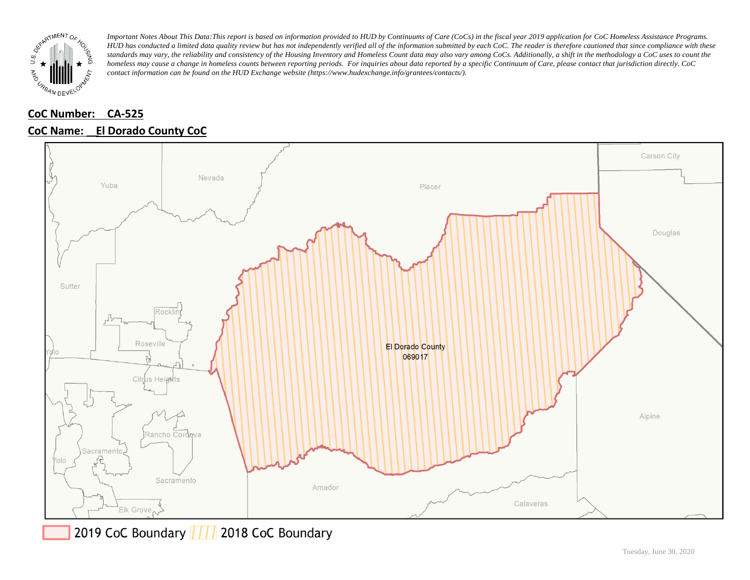

# **CoC Number: CA-525**





2019 CoC Boundary | | | 2018 CoC Boundary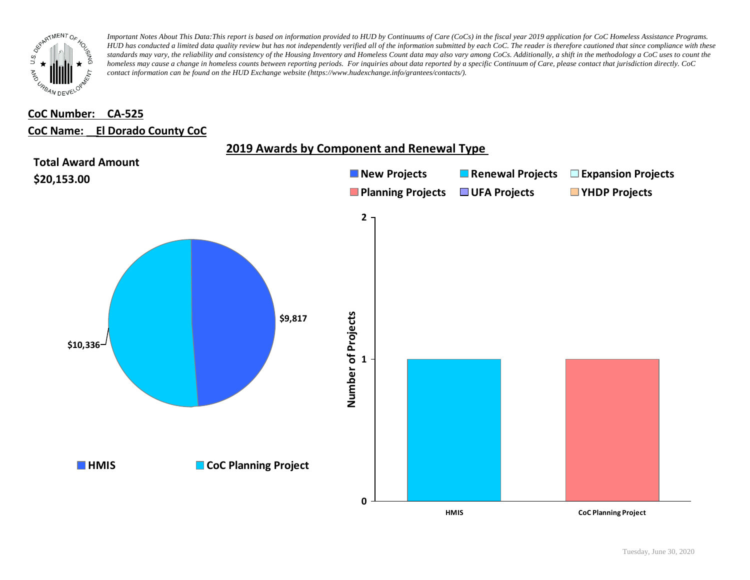

## **CoC Number: CA-525 CoC Name: \_\_ El Dorado County CoC**

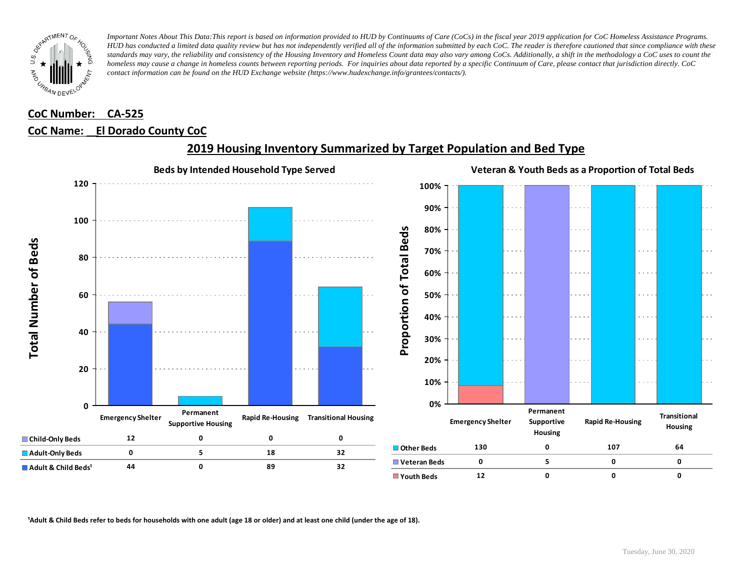

# **CoC Number: CA-525 CoC Name: \_\_ El Dorado County CoC**



## **2019 Housing Inventory Summarized by Target Population and Bed Type**

<sup>1</sup> Adult & Child Beds refer to beds for households with one adult (age 18 or older) and at least one child (under the age of 18).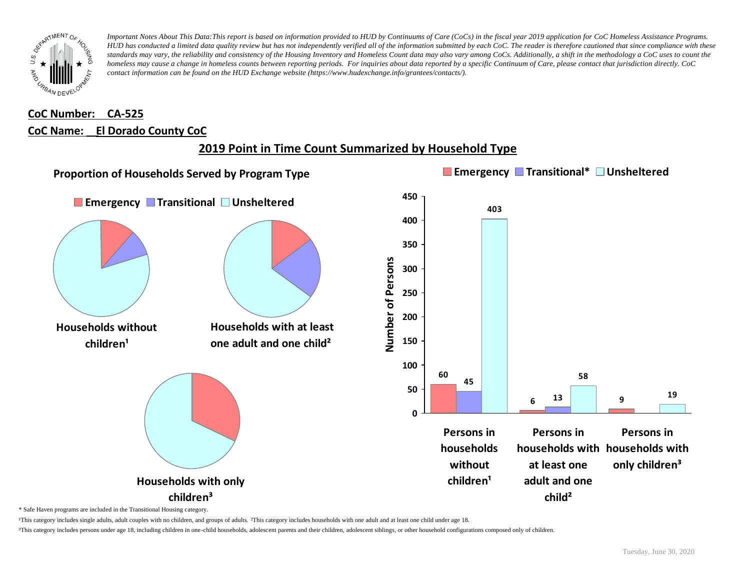

## **CoC Number: CA-525 CoC Name: \_\_ El Dorado County CoC**

# **2019 Point in Time Count Summarized by Household Type**



\* Safe Haven programs are included in the Transitional Housing category.

¹This category includes single adults, adult couples with no children, and groups of adults. ²This category includes households with one adult and at least one child under age 18.

³This category includes persons under age 18, including children in one-child households, adolescent parents and their children, adolescent siblings, or other household configurations composed only of children.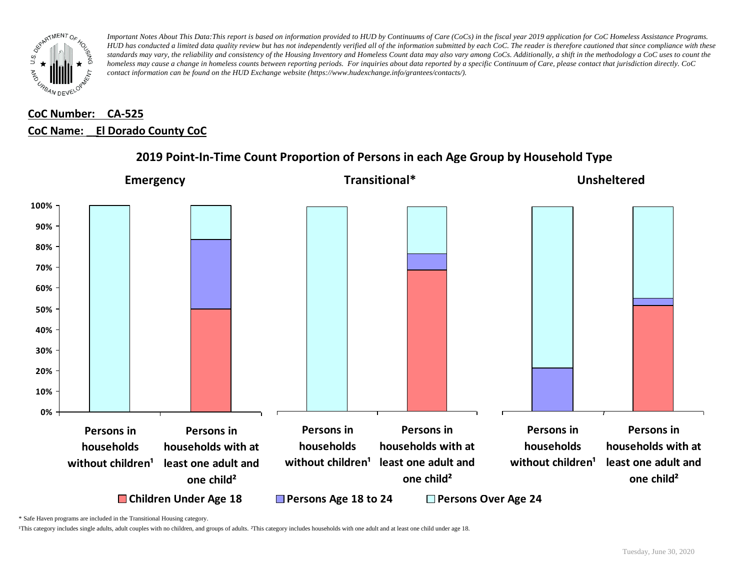

# **CoC Number: CA-525 CoC Name: \_\_ El Dorado County CoC**



#### **2019 Point-In-Time Count Proportion of Persons in each Age Group by Household Type**

\* Safe Haven programs are included in the Transitional Housing category.

¹This category includes single adults, adult couples with no children, and groups of adults. ²This category includes households with one adult and at least one child under age 18.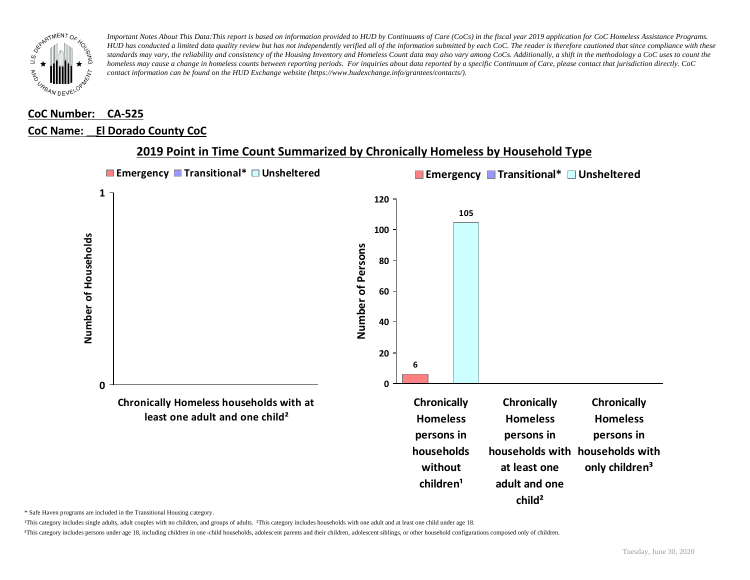

## **CoC Number: CA-525 CoC Name: \_\_ El Dorado County CoC**



#### **2019 Point in Time Count Summarized by Chronically Homeless by Household Type**

\* Safe Haven programs are included in the Transitional Housing category.

¹This category includes single adults, adult couples with no children, and groups of adults. ²This category includes households with one adult and at least one child under age 18.

³This category includes persons under age 18, including children in one -child households, adolescent parents and their children, adolescent siblings, or other household configurations composed only of children.